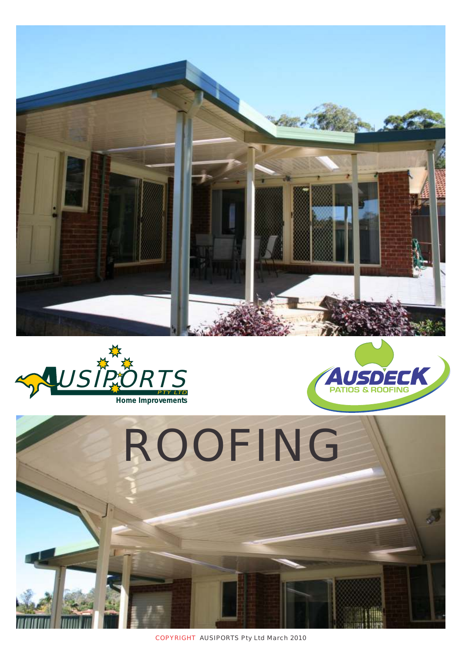







COPYRIGHT AUSIPORTS Pty Ltd March 2010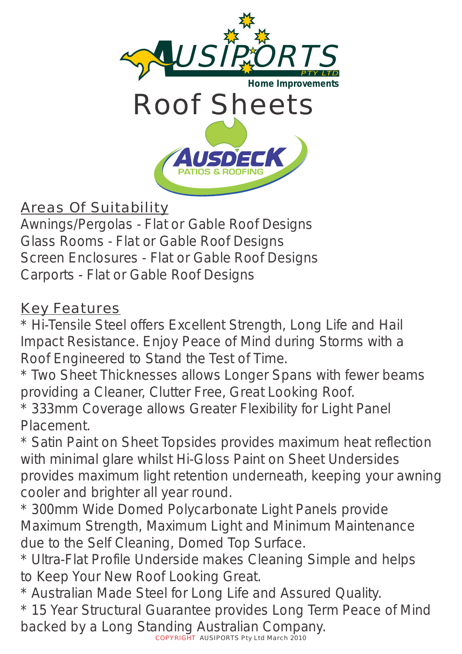

## Areas Of Suitability

Awnings/Pergolas - Flat or Gable Roof Designs Glass Rooms - Flat or Gable Roof Designs Screen Enclosures - Flat or Gable Roof Designs Carports - Flat or Gable Roof Designs

## Key Features

\* Hi-Tensile Steel offers Excellent Strength, Long Life and Hail Impact Resistance. Enjoy Peace of Mind during Storms with a Roof Engineered to Stand the Test of Time.

\* Two Sheet Thicknesses allows Longer Spans with fewer beams providing a Cleaner, Clutter Free, Great Looking Roof.

\* 333mm Coverage allows Greater Flexibility for Light Panel Placement.

\* Satin Paint on Sheet Topsides provides maximum heat reflection with minimal glare whilst Hi-Gloss Paint on Sheet Undersides provides maximum light retention underneath, keeping your awning cooler and brighter all year round.

\* 300mm Wide Domed Polycarbonate Light Panels provide Maximum Strength, Maximum Light and Minimum Maintenance due to the Self Cleaning, Domed Top Surface.

\* Ultra-Flat Profile Underside makes Cleaning Simple and helps to Keep Your New Roof Looking Great.

\* Australian Made Steel for Long Life and Assured Quality.

\* 15 Year Structural Guarantee provides Long Term Peace of Mind backed by a Long Standing Australian Company.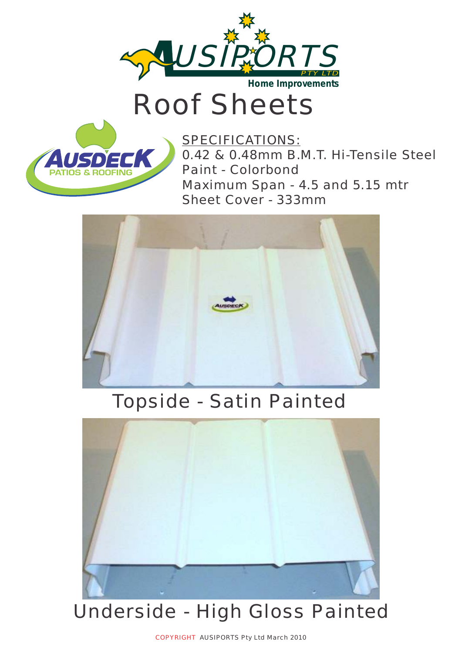

Roof Sheets



SPECIFICATIONS: 0.42 & 0.48mm B.M.T. Hi-Tensile Steel Paint - Colorbond Maximum Span - 4.5 and 5.15 mtr Sheet Cover - 333mm



## Topside - Satin Painted



## Underside - High Gloss Painted

COPYRIGHT AUSIPORTS Pty Ltd March 2010